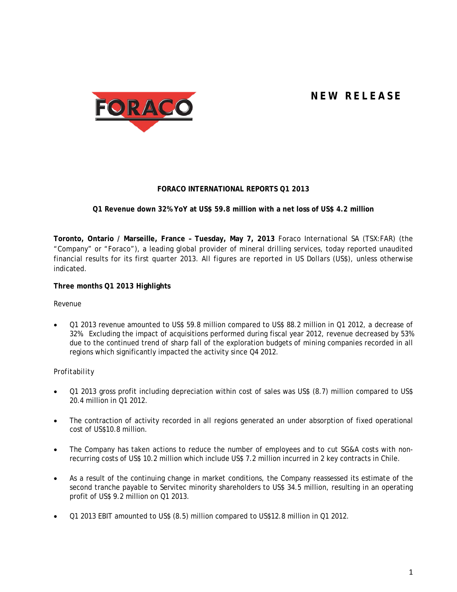# **NEW RELEASE**



# **FORACO INTERNATIONAL REPORTS Q1 2013**

# **Q1 Revenue down 32% YoY at US\$ 59.8 million with a net loss of US\$ 4.2 million**

**Toronto, Ontario / Marseille, France – Tuesday, May 7, 2013** Foraco International SA (TSX:FAR) (the "Company" or "Foraco"), a leading global provider of mineral drilling services, today reported unaudited financial results for its first quarter 2013. All figures are reported in US Dollars (US\$), unless otherwise indicated.

## **Three months Q1 2013 Highlights**

## *Revenue*

• Q1 2013 revenue amounted to US\$ 59.8 million compared to US\$ 88.2 million in Q1 2012, a decrease of 32%. Excluding the impact of acquisitions performed during fiscal year 2012, revenue decreased by 53% due to the continued trend of sharp fall of the exploration budgets of mining companies recorded in all regions which significantly impacted the activity since Q4 2012.

## *Profitability*

- Q1 2013 gross profit including depreciation within cost of sales was US\$ (8.7) million compared to US\$ 20.4 million in Q1 2012.
- The contraction of activity recorded in all regions generated an under absorption of fixed operational cost of US\$10.8 million.
- The Company has taken actions to reduce the number of employees and to cut SG&A costs with nonrecurring costs of US\$ 10.2 million which include US\$ 7.2 million incurred in 2 key contracts in Chile.
- As a result of the continuing change in market conditions, the Company reassessed its estimate of the second tranche payable to Servitec minority shareholders to US\$ 34.5 million, resulting in an operating profit of US\$ 9.2 million on Q1 2013.
- Q1 2013 EBIT amounted to US\$ (8.5) million compared to US\$12.8 million in Q1 2012.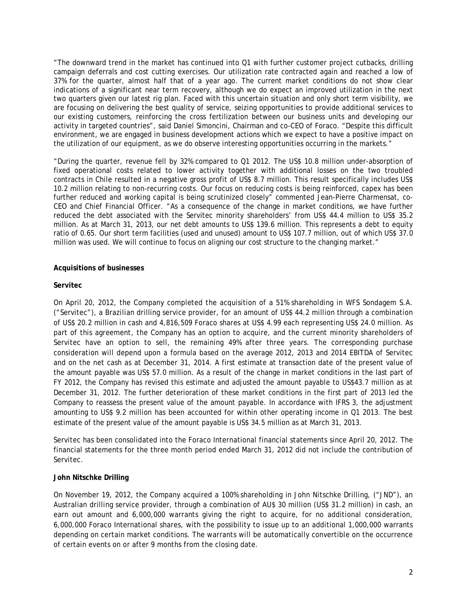"The downward trend in the market has continued into Q1 with further customer project cutbacks, drilling campaign deferrals and cost cutting exercises. Our utilization rate contracted again and reached a low of 37% for the quarter, almost half that of a year ago. The current market conditions do not show clear indications of a significant near term recovery, although we do expect an improved utilization in the next two quarters given our latest rig plan. Faced with this uncertain situation and only short term visibility, we are focusing on delivering the best quality of service, seizing opportunities to provide additional services to our existing customers, reinforcing the cross fertilization between our business units and developing our activity in targeted countries", said Daniel Simoncini, Chairman and co-CEO of Foraco. "Despite this difficult environment, we are engaged in business development actions which we expect to have a positive impact on the utilization of our equipment, as we do observe interesting opportunities occurring in the markets."

"During the quarter, revenue fell by 32% compared to Q1 2012. The US\$ 10.8 million under-absorption of fixed operational costs related to lower activity together with additional losses on the two troubled contracts in Chile resulted in a negative gross profit of US\$ 8.7 million. This result specifically includes US\$ 10.2 million relating to non-recurring costs. Our focus on reducing costs is being reinforced, capex has been further reduced and working capital is being scrutinized closely" commented Jean-Pierre Charmensat, co-CEO and Chief Financial Officer. "As a consequence of the change in market conditions, we have further reduced the debt associated with the Servitec minority shareholders' from US\$ 44.4 million to US\$ 35.2 million. As at March 31, 2013, our net debt amounts to US\$ 139.6 million. This represents a debt to equity ratio of 0.65. Our short term facilities (used and unused) amount to US\$ 107.7 million, out of which US\$ 37.0 million was used. We will continue to focus on aligning our cost structure to the changing market."

#### **Acquisitions of businesses**

#### **Servitec**

On April 20, 2012, the Company completed the acquisition of a 51% shareholding in WFS Sondagem S.A. ("Servitec"), a Brazilian drilling service provider, for an amount of US\$ 44.2 million through a combination of US\$ 20.2 million in cash and 4,816,509 Foraco shares at US\$ 4.99 each representing US\$ 24.0 million. As part of this agreement, the Company has an option to acquire, and the current minority shareholders of Servitec have an option to sell, the remaining 49% after three years. The corresponding purchase consideration will depend upon a formula based on the average 2012, 2013 and 2014 EBITDA of Servitec and on the net cash as at December 31, 2014. A first estimate at transaction date of the present value of the amount payable was US\$ 57.0 million. As a result of the change in market conditions in the last part of FY 2012, the Company has revised this estimate and adjusted the amount payable to US\$43.7 million as at December 31, 2012. The further deterioration of these market conditions in the first part of 2013 led the Company to reassess the present value of the amount payable. In accordance with IFRS 3, the adjustment amounting to US\$ 9.2 million has been accounted for within other operating income in Q1 2013. The best estimate of the present value of the amount payable is US\$ 34.5 million as at March 31, 2013.

Servitec has been consolidated into the Foraco International financial statements since April 20, 2012. The financial statements for the three month period ended March 31, 2012 did not include the contribution of Servitec.

#### **John Nitschke Drilling**

On November 19, 2012, the Company acquired a 100% shareholding in John Nitschke Drilling, ("JND"), an Australian drilling service provider, through a combination of AU\$ 30 million (US\$ 31.2 million) in cash, an earn out amount and 6,000,000 warrants giving the right to acquire, for no additional consideration, 6,000,000 Foraco International shares, with the possibility to issue up to an additional 1,000,000 warrants depending on certain market conditions. The warrants will be automatically convertible on the occurrence of certain events on or after 9 months from the closing date.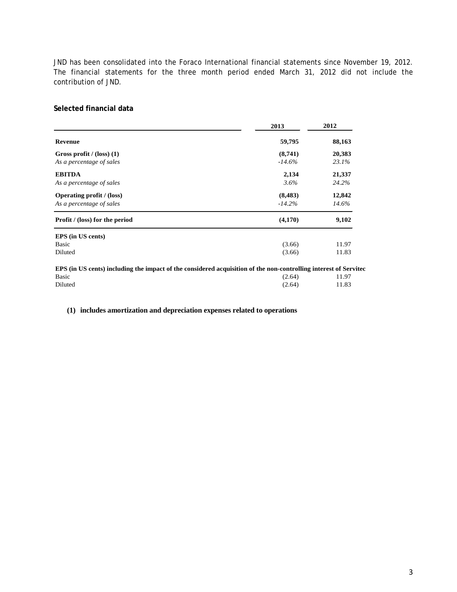JND has been consolidated into the Foraco International financial statements since November 19, 2012. The financial statements for the three month period ended March 31, 2012 did not include the contribution of JND.

### **Selected financial data**

|                                                                                                                  | 2013      | 2012   |
|------------------------------------------------------------------------------------------------------------------|-----------|--------|
| <b>Revenue</b>                                                                                                   | 59,795    | 88,163 |
| Gross profit $/(loss)$ (1)                                                                                       | (8,741)   | 20,383 |
| As a percentage of sales                                                                                         | $-14.6\%$ | 23.1%  |
| <b>EBITDA</b>                                                                                                    | 2,134     | 21,337 |
| As a percentage of sales                                                                                         | 3.6%      | 24.2%  |
| <b>Operating profit</b> / (loss)                                                                                 | (8, 483)  | 12,842 |
| As a percentage of sales                                                                                         | $-14.2\%$ | 14.6%  |
| <b>Profit</b> / (loss) for the period                                                                            | (4,170)   | 9,102  |
| <b>EPS</b> (in US cents)                                                                                         |           |        |
| Basic                                                                                                            | (3.66)    | 11.97  |
| Diluted                                                                                                          | (3.66)    | 11.83  |
| EPS (in US cents) including the impact of the considered acquisition of the non-controlling interest of Servitec |           |        |
| Basic                                                                                                            | (2.64)    | 11.97  |
| Diluted                                                                                                          | (2.64)    | 11.83  |

**(1) includes amortization and depreciation expenses related to operations**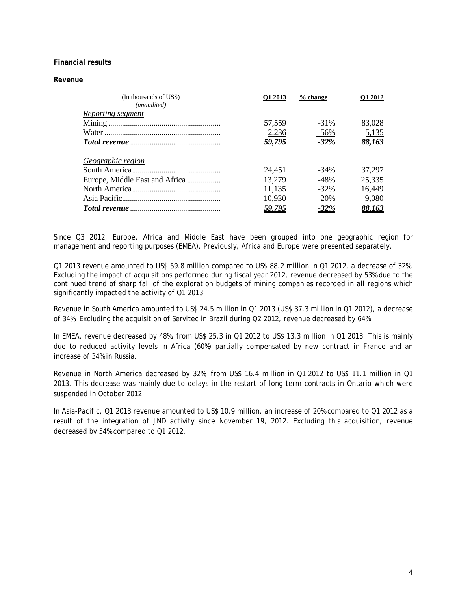## **Financial results**

#### *Revenue*

| (In thousands of US\$)<br>(unaudited) | O1 2013       | $%$ change  | <b>O1 2012</b> |
|---------------------------------------|---------------|-------------|----------------|
| <b>Reporting segment</b>              |               |             |                |
|                                       | 57,559        | $-31\%$     | 83,028         |
|                                       | 2,236         | $-56%$      | 5,135          |
|                                       | <u>59,795</u> | $-32%$      | <u>88,163</u>  |
| Geographic region                     |               |             |                |
|                                       | 24,451        | $-34\%$     | 37,297         |
| Europe, Middle East and Africa        | 13,279        | $-48%$      | 25,335         |
|                                       | 11,135        | $-32\%$     | 16,449         |
|                                       | 10,930        | 20%         | 9,080          |
|                                       | <u>59,795</u> | <u>-32%</u> | <u>88,163</u>  |

Since Q3 2012, Europe, Africa and Middle East have been grouped into one geographic region for management and reporting purposes (EMEA). Previously, Africa and Europe were presented separately.

Q1 2013 revenue amounted to US\$ 59.8 million compared to US\$ 88.2 million in Q1 2012, a decrease of 32%. Excluding the impact of acquisitions performed during fiscal year 2012, revenue decreased by 53% due to the continued trend of sharp fall of the exploration budgets of mining companies recorded in all regions which significantly impacted the activity of Q1 2013.

Revenue in South America amounted to US\$ 24.5 million in Q1 2013 (US\$ 37.3 million in Q1 2012), a decrease of 34%. Excluding the acquisition of Servitec in Brazil during Q2 2012, revenue decreased by 64%.

In EMEA, revenue decreased by 48%, from US\$ 25.3 in Q1 2012 to US\$ 13.3 million in Q1 2013. This is mainly due to reduced activity levels in Africa (60%) partially compensated by new contract in France and an increase of 34% in Russia.

Revenue in North America decreased by 32%, from US\$ 16.4 million in Q1 2012 to US\$ 11.1 million in Q1 2013. This decrease was mainly due to delays in the restart of long term contracts in Ontario which were suspended in October 2012.

In Asia-Pacific, Q1 2013 revenue amounted to US\$ 10.9 million, an increase of 20% compared to Q1 2012 as a result of the integration of JND activity since November 19, 2012. Excluding this acquisition, revenue decreased by 54% compared to Q1 2012.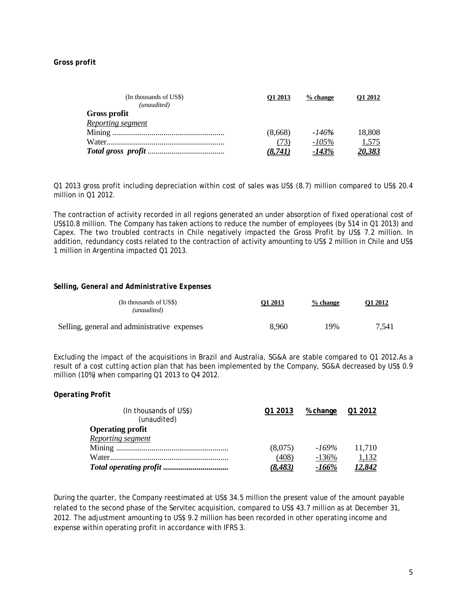#### *Gross profit*

| (In thousands of US\$) | O1 2013 | $%$ change | <b>O1 2012</b> |
|------------------------|---------|------------|----------------|
| (unaudited)            |         |            |                |
| Gross profit           |         |            |                |
| Reporting segment      |         |            |                |
|                        | (8,668) | -146%      | 18,808         |
|                        | (73)    | $-105\%$   | 1,575          |
|                        | (8.741) | -143%      | <u>20,383</u>  |

Q1 2013 gross profit including depreciation within cost of sales was US\$ (8.7) million compared to US\$ 20.4 million in Q1 2012.

The contraction of activity recorded in all regions generated an under absorption of fixed operational cost of US\$10.8 million. The Company has taken actions to reduce the number of employees (by 514 in Q1 2013) and Capex. The two troubled contracts in Chile negatively impacted the Gross Profit by US\$ 7.2 million. In addition, redundancy costs related to the contraction of activity amounting to US\$ 2 million in Chile and US\$ 1 million in Argentina impacted Q1 2013.

#### *Selling, General and Administrative Expenses*

| (In thousands of US\$)<br>(unaudited)        | O1 2013 | % change | Q1 2012 |
|----------------------------------------------|---------|----------|---------|
| Selling, general and administrative expenses | 8.960   | 19%      | 7,541   |

Excluding the impact of the acquisitions in Brazil and Australia, SG&A are stable compared to Q1 2012.As a result of a cost cutting action plan that has been implemented by the Company, SG&A decreased by US\$ 0.9 million (10%) when comparing Q1 2013 to Q4 2012.

*Operating Profit*

| (In thousands of US\$)<br>(unaudited) | Q1 2013 | % change | 01 2012       |
|---------------------------------------|---------|----------|---------------|
| <b>Operating profit</b>               |         |          |               |
| Reporting segment                     |         |          |               |
|                                       | (8,075) | -169%    | 11,710        |
|                                       | (408)   | $-136%$  | 1,132         |
|                                       | (8.483) | -166%    | <u>12.842</u> |

During the quarter, the Company reestimated at US\$ 34.5 million the present value of the amount payable related to the second phase of the Servitec acquisition, compared to US\$ 43.7 million as at December 31, 2012. The adjustment amounting to US\$ 9.2 million has been recorded in other operating income and expense within operating profit in accordance with IFRS 3.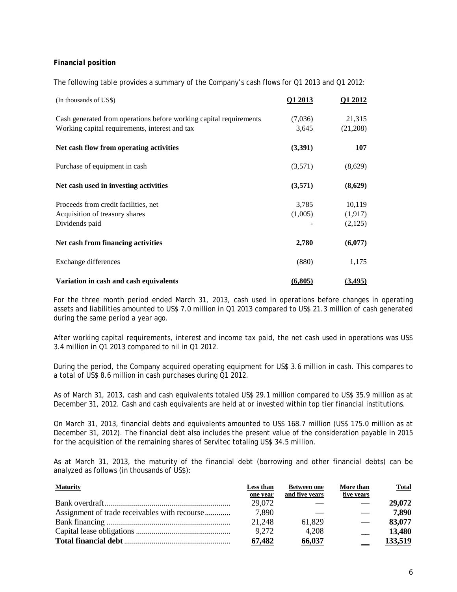## *Financial position*

The following table provides a summary of the Company's cash flows for Q1 2013 and Q1 2012:

| (In thousands of US\$)                                             | Q1 2013 | Q1 2012  |
|--------------------------------------------------------------------|---------|----------|
| Cash generated from operations before working capital requirements | (7,036) | 21,315   |
| Working capital requirements, interest and tax                     | 3,645   | (21,208) |
| Net cash flow from operating activities                            | (3,391) | 107      |
| Purchase of equipment in cash                                      | (3,571) | (8,629)  |
| Net cash used in investing activities                              | (3,571) | (8,629)  |
| Proceeds from credit facilities, net                               | 3,785   | 10,119   |
| Acquisition of treasury shares                                     | (1,005) | (1,917)  |
| Dividends paid                                                     |         | (2,125)  |
| Net cash from financing activities                                 | 2,780   | (6,077)  |
| Exchange differences                                               | (880)   | 1,175    |
| Variation in cash and cash equivalents                             | (6,805) | (3, 495) |

For the three month period ended March 31, 2013, cash used in operations before changes in operating assets and liabilities amounted to US\$ 7.0 million in Q1 2013 compared to US\$ 21.3 million of cash generated during the same period a year ago.

After working capital requirements, interest and income tax paid, the net cash used in operations was US\$ 3.4 million in Q1 2013 compared to nil in Q1 2012.

During the period, the Company acquired operating equipment for US\$ 3.6 million in cash. This compares to a total of US\$ 8.6 million in cash purchases during Q1 2012.

As of March 31, 2013, cash and cash equivalents totaled US\$ 29.1 million compared to US\$ 35.9 million as at December 31, 2012. Cash and cash equivalents are held at or invested within top tier financial institutions.

On March 31, 2013, financial debts and equivalents amounted to US\$ 168.7 million (US\$ 175.0 million as at December 31, 2012). The financial debt also includes the present value of the consideration payable in 2015 for the acquisition of the remaining shares of Servitec totaling US\$ 34.5 million.

As at March 31, 2013, the maturity of the financial debt (borrowing and other financial debts) can be analyzed as follows (in thousands of US\$):

| <b>Maturity</b> | Less than<br>one year | <b>Between one</b><br>and five years | More than<br>five years | Total   |
|-----------------|-----------------------|--------------------------------------|-------------------------|---------|
|                 | 29,072                |                                      | $\frac{1}{2}$           | 29,072  |
|                 | 7,890                 |                                      |                         | 7,890   |
|                 | 21,248                | 61,829                               |                         | 83,077  |
|                 | 9,272                 | 4.208                                |                         | 13,480  |
|                 | 67.482                | 66,037                               |                         | 133.519 |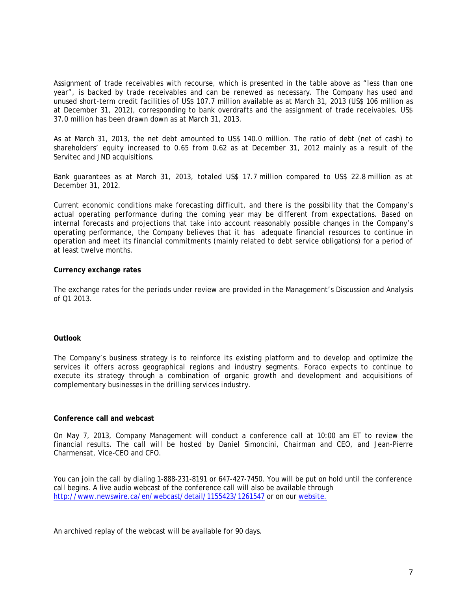Assignment of trade receivables with recourse, which is presented in the table above as "less than one year", is backed by trade receivables and can be renewed as necessary. The Company has used and unused short-term credit facilities of US\$ 107.7 million available as at March 31, 2013 (US\$ 106 million as at December 31, 2012), corresponding to bank overdrafts and the assignment of trade receivables. US\$ 37.0 million has been drawn down as at March 31, 2013.

As at March 31, 2013, the net debt amounted to US\$ 140.0 million. The ratio of debt (net of cash) to shareholders' equity increased to 0.65 from 0.62 as at December 31, 2012 mainly as a result of the Servitec and JND acquisitions.

Bank guarantees as at March 31, 2013, totaled US\$ 17.7 million compared to US\$ 22.8 million as at December 31, 2012.

Current economic conditions make forecasting difficult, and there is the possibility that the Company's actual operating performance during the coming year may be different from expectations. Based on internal forecasts and projections that take into account reasonably possible changes in the Company's operating performance, the Company believes that it has adequate financial resources to continue in operation and meet its financial commitments (mainly related to debt service obligations) for a period of at least twelve months.

#### **Currency exchange rates**

The exchange rates for the periods under review are provided in the Management's Discussion and Analysis of Q1 2013.

#### **Outlook**

The Company's business strategy is to reinforce its existing platform and to develop and optimize the services it offers across geographical regions and industry segments. Foraco expects to continue to execute its strategy through a combination of organic growth and development and acquisitions of complementary businesses in the drilling services industry.

#### **Conference call and webcast**

On May 7, 2013, Company Management will conduct a conference call at 10:00 am ET to review the financial results. The call will be hosted by Daniel Simoncini, Chairman and CEO, and Jean-Pierre Charmensat, Vice-CEO and CFO.

You can join the call by dialing 1-888-231-8191 or 647-427-7450. You will be put on hold until the conference call begins. A live audio webcast of the conference call will also be available through <http://www.newswire.ca/en/webcast/detail/1155423/1261547> or on our [website.](http://www.foraco.com/index.php/investors/events-a-earnings-calendar)

An archived replay of the webcast will be available for 90 days.